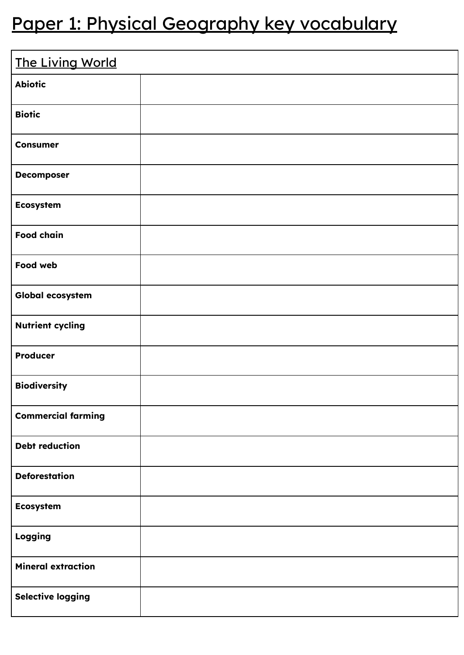## Paper 1: Physical Geography key vocabulary

| The Living World          |  |
|---------------------------|--|
| <b>Abiotic</b>            |  |
| <b>Biotic</b>             |  |
| <b>Consumer</b>           |  |
| <b>Decomposer</b>         |  |
| <b>Ecosystem</b>          |  |
| <b>Food chain</b>         |  |
| Food web                  |  |
| Global ecosystem          |  |
| <b>Nutrient cycling</b>   |  |
| <b>Producer</b>           |  |
| <b>Biodiversity</b>       |  |
| <b>Commercial farming</b> |  |
| <b>Debt reduction</b>     |  |
| <b>Deforestation</b>      |  |
| <b>Ecosystem</b>          |  |
| Logging                   |  |
| <b>Mineral extraction</b> |  |
| <b>Selective logging</b>  |  |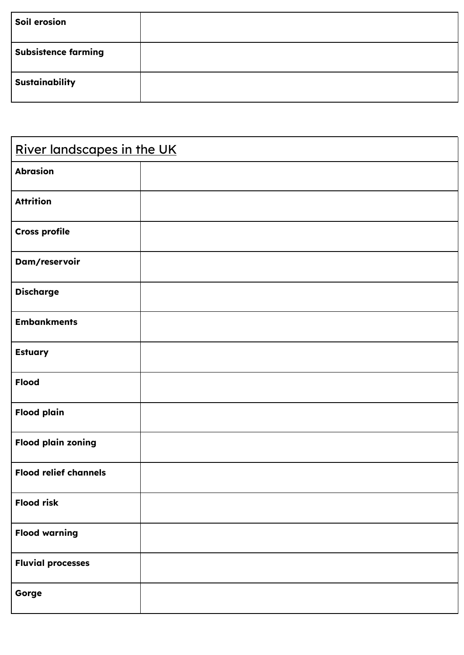| Soil erosion               |  |
|----------------------------|--|
| <b>Subsistence farming</b> |  |
| <b>Sustainability</b>      |  |

| River landscapes in the UK   |  |
|------------------------------|--|
| <b>Abrasion</b>              |  |
| <b>Attrition</b>             |  |
| <b>Cross profile</b>         |  |
| Dam/reservoir                |  |
| <b>Discharge</b>             |  |
| <b>Embankments</b>           |  |
| <b>Estuary</b>               |  |
| <b>Flood</b>                 |  |
| <b>Flood plain</b>           |  |
| <b>Flood plain zoning</b>    |  |
| <b>Flood relief channels</b> |  |
| <b>Flood risk</b>            |  |
| <b>Flood warning</b>         |  |
| <b>Fluvial processes</b>     |  |
| Gorge                        |  |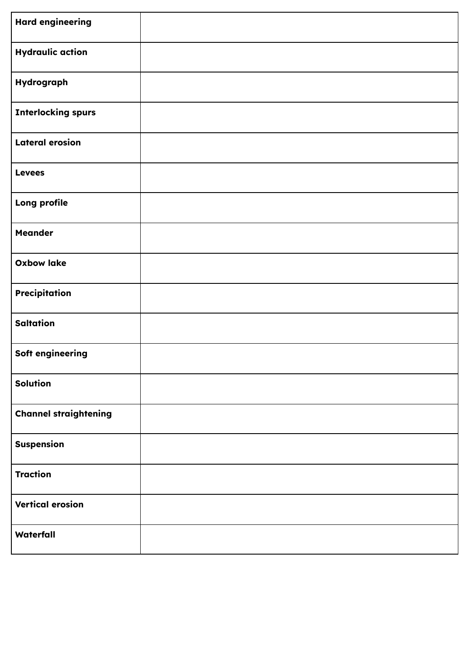| <b>Hard engineering</b>      |  |
|------------------------------|--|
| <b>Hydraulic action</b>      |  |
| Hydrograph                   |  |
| <b>Interlocking spurs</b>    |  |
| <b>Lateral erosion</b>       |  |
| <b>Levees</b>                |  |
| Long profile                 |  |
| <b>Meander</b>               |  |
| <b>Oxbow lake</b>            |  |
| Precipitation                |  |
| <b>Saltation</b>             |  |
| Soft engineering             |  |
| <b>Solution</b>              |  |
| <b>Channel straightening</b> |  |
| <b>Suspension</b>            |  |
| <b>Traction</b>              |  |
| <b>Vertical erosion</b>      |  |
| Waterfall                    |  |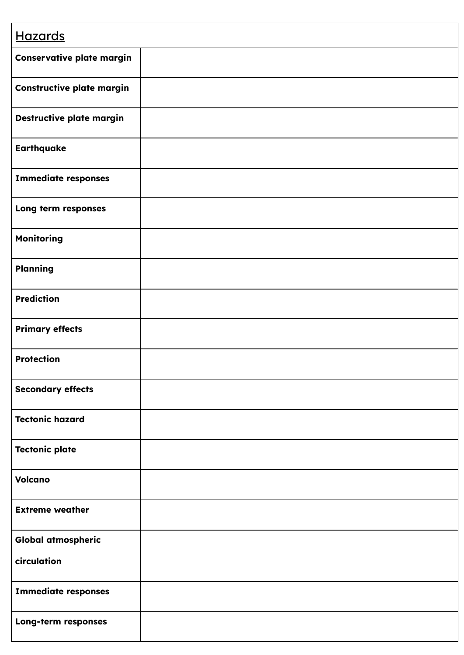| <b>Hazards</b>                   |  |
|----------------------------------|--|
| Conservative plate margin        |  |
| <b>Constructive plate margin</b> |  |
| Destructive plate margin         |  |
| <b>Earthquake</b>                |  |
| <b>Immediate responses</b>       |  |
| Long term responses              |  |
| <b>Monitoring</b>                |  |
| <b>Planning</b>                  |  |
| <b>Prediction</b>                |  |
| <b>Primary effects</b>           |  |
| <b>Protection</b>                |  |
| <b>Secondary effects</b>         |  |
| <b>Tectonic hazard</b>           |  |
| <b>Tectonic plate</b>            |  |
| <b>Volcano</b>                   |  |
| <b>Extreme weather</b>           |  |
| <b>Global atmospheric</b>        |  |
| circulation                      |  |
| <b>Immediate responses</b>       |  |
| Long-term responses              |  |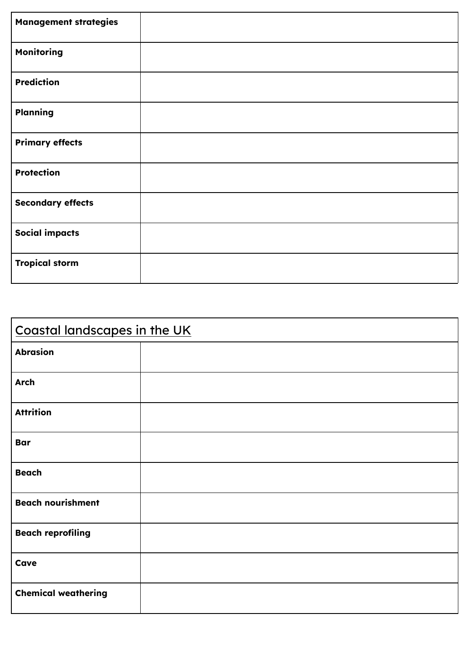| <b>Management strategies</b> |  |
|------------------------------|--|
| <b>Monitoring</b>            |  |
| <b>Prediction</b>            |  |
| <b>Planning</b>              |  |
| <b>Primary effects</b>       |  |
| <b>Protection</b>            |  |
| <b>Secondary effects</b>     |  |
| <b>Social impacts</b>        |  |
| <b>Tropical storm</b>        |  |

| Coastal landscapes in the UK |  |
|------------------------------|--|
| <b>Abrasion</b>              |  |
| <b>Arch</b>                  |  |
| <b>Attrition</b>             |  |
| <b>Bar</b>                   |  |
| <b>Beach</b>                 |  |
| <b>Beach nourishment</b>     |  |
| <b>Beach reprofiling</b>     |  |
| Cave                         |  |
| <b>Chemical weathering</b>   |  |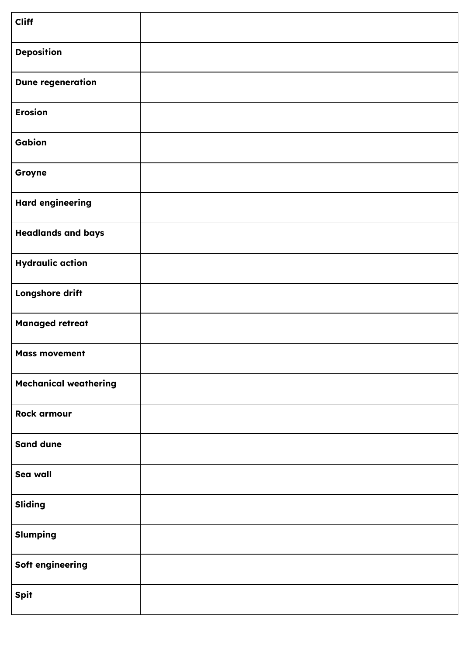| <b>Cliff</b>                 |  |
|------------------------------|--|
| <b>Deposition</b>            |  |
| <b>Dune regeneration</b>     |  |
| <b>Erosion</b>               |  |
| Gabion                       |  |
| Groyne                       |  |
| <b>Hard engineering</b>      |  |
| <b>Headlands and bays</b>    |  |
| <b>Hydraulic action</b>      |  |
| Longshore drift              |  |
| <b>Managed retreat</b>       |  |
| <b>Mass movement</b>         |  |
| <b>Mechanical weathering</b> |  |
| <b>Rock armour</b>           |  |
| <b>Sand dune</b>             |  |
| Sea wall                     |  |
| <b>Sliding</b>               |  |
| <b>Slumping</b>              |  |
| Soft engineering             |  |
| <b>Spit</b>                  |  |